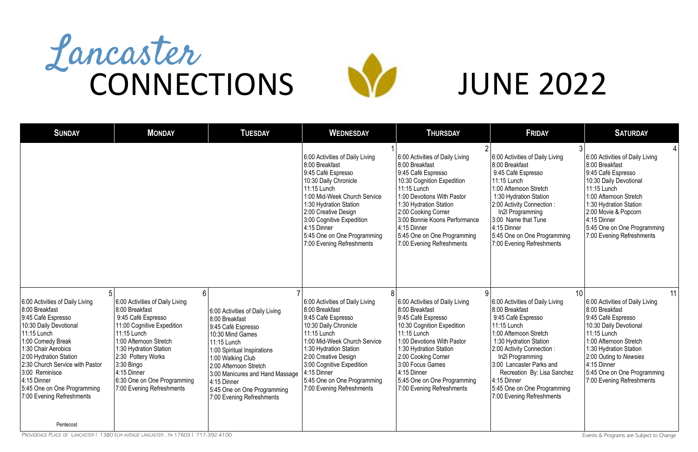| <b>SUNDAY</b>                                                                                                                                                                                                                                                                                                          | <b>MONDAY</b>                                                                                                                                                                                                                                                                                  | <b>TUESDAY</b>                                                                                                                                                                                                                                                                                         | <b>WEDNESDAY</b>                                                                                                                                                                                                                                                                                            | <b>THURSDAY</b>                                                                                                                                                                                                                                                                                                 | <b>FRIDAY</b>                                                                                                                                                                                                                                                                                                                              | <b>SATURDAY</b>                                                                                                                                                                                                                                                                 |
|------------------------------------------------------------------------------------------------------------------------------------------------------------------------------------------------------------------------------------------------------------------------------------------------------------------------|------------------------------------------------------------------------------------------------------------------------------------------------------------------------------------------------------------------------------------------------------------------------------------------------|--------------------------------------------------------------------------------------------------------------------------------------------------------------------------------------------------------------------------------------------------------------------------------------------------------|-------------------------------------------------------------------------------------------------------------------------------------------------------------------------------------------------------------------------------------------------------------------------------------------------------------|-----------------------------------------------------------------------------------------------------------------------------------------------------------------------------------------------------------------------------------------------------------------------------------------------------------------|--------------------------------------------------------------------------------------------------------------------------------------------------------------------------------------------------------------------------------------------------------------------------------------------------------------------------------------------|---------------------------------------------------------------------------------------------------------------------------------------------------------------------------------------------------------------------------------------------------------------------------------|
|                                                                                                                                                                                                                                                                                                                        |                                                                                                                                                                                                                                                                                                |                                                                                                                                                                                                                                                                                                        | 6:00 Activities of Daily Living<br>8:00 Breakfast<br>9:45 Café Espresso<br>10:30 Daily Chronicle<br>11:15 Lunch<br>1:00 Mid-Week Church Service<br>1:30 Hydration Station<br>2:00 Creative Design<br>3:00 Cognitive Expedition<br>$4:15$ Dinner<br>5:45 One on One Programming<br>7:00 Evening Refreshments | 6:00 Activities of Daily Living<br>8:00 Breakfast<br>9:45 Café Espresso<br>10:30 Cognition Expedition<br>11:15 Lunch<br>1:00 Devotions With Pastor<br>1:30 Hydration Station<br>2:00 Cooking Corner<br>3:00 Bonnie Koons Performance<br>4:15 Dinner<br>5:45 One on One Programming<br>7:00 Evening Refreshments | 6:00 Activities of Daily Living<br>8:00 Breakfast<br>9:45 Café Espresso<br>11:15 Lunch<br>1:00 Afternoon Stretch<br>1:30 Hydration Station<br>2:00 Activity Connection :<br>In2l Programming<br>3:00 Name that Tune<br>4:15 Dinner<br>5:45 One on One Programming<br>7:00 Evening Refreshments                                             | 6:00 Activities of Daily Living<br>8:00 Breakfast<br>9:45 Café Espresso<br>10:30 Daily Devotional<br>11:15 Lunch<br>1:00 Afternoon Stretch<br>1:30 Hydration Station<br>2:00 Movie & Popcorn<br>4:15 Dinner<br>5:45 One on One Programming<br>7:00 Evening Refreshments         |
| 6:00 Activities of Daily Living<br>8:00 Breakfast<br>9:45 Café Espresso<br>10:30 Daily Devotional<br>11:15 Lunch<br>1:00 Comedy Break<br>1:30 Chair Aerobics<br>2:00 Hydration Station<br>2:30 Church Service with Pastor<br>3:00 Reminisce<br>4:15 Dinner<br>5:45 One on One Programming<br>7:00 Evening Refreshments | 6<br>6:00 Activities of Daily Living<br>8:00 Breakfast<br>9:45 Café Espresso<br>11:00 Cognitive Expedition<br>11:15 Lunch<br>1:00 Afternoon Stretch<br>1:30 Hydration Station<br>2:30 Pottery Works<br>$3:30$ Bingo<br>4:15 Dinner<br>6:30 One on One Programming<br>7:00 Evening Refreshments | 6:00 Activities of Daily Living<br>8:00 Breakfast<br>9:45 Café Espresso<br>10:30 Mind Games<br>11:15 Lunch<br>1:00 Spiritual Inspirations<br>1:00 Walking Club<br>2:00 Afternoon Stretch<br>3:00 Manicures and Hand Massage<br>4:15 Dinner<br>5:45 One on One Programming<br>7:00 Evening Refreshments | 6:00 Activities of Daily Living<br>8:00 Breakfast<br>9:45 Café Espresso<br>10:30 Daily Chronicle<br>11:15 Lunch<br>1:00 Mid-Week Church Service<br>1:30 Hydration Station<br>2:00 Creative Design<br>3:00 Cognitive Expedition<br>4:15 Dinner<br>5:45 One on One Programming<br>7:00 Evening Refreshments   | 8<br>6:00 Activities of Daily Living<br>8:00 Breakfast<br>9:45 Café Espresso<br>10:30 Cognition Expedition<br>11:15 Lunch<br>1:00 Devotions With Pastor<br>1:30 Hydration Station<br>2:00 Cooking Corner<br>3:00 Focus Games<br>4:15 Dinner<br>5:45 One on One Programming<br>7:00 Evening Refreshments         | 10<br>6:00 Activities of Daily Living<br>8:00 Breakfast<br>9:45 Café Espresso<br>11:15 Lunch<br>1:00 Afternoon Stretch<br>1:30 Hydration Station<br>2:00 Activity Connection:<br>In2l Programming<br>3:00 Lancaster Parks and<br>Recreation By: Lisa Sanchez<br>$ 4:15$ Dinner<br>5:45 One on One Programming<br>7:00 Evening Refreshments | 11<br>6:00 Activities of Daily Living<br>8:00 Breakfast<br>9:45 Café Espresso<br>10:30 Daily Devotional<br>11:15 Lunch<br>1:00 Afternoon Stretch<br>1:30 Hydration Station<br>2:00 Outing to Newsies<br>4:15 Dinner<br>5:45 One on One Programming<br>7:00 Evening Refreshments |
| Pentecost                                                                                                                                                                                                                                                                                                              |                                                                                                                                                                                                                                                                                                |                                                                                                                                                                                                                                                                                                        |                                                                                                                                                                                                                                                                                                             |                                                                                                                                                                                                                                                                                                                 |                                                                                                                                                                                                                                                                                                                                            |                                                                                                                                                                                                                                                                                 |

PROVIDENCE PLACE OF LANCASTER | 1380 ELM AVENUE LANCASTER, PA 17603 | 717-392-4100  $\blacksquare$  Events & Programs are Subject to Change